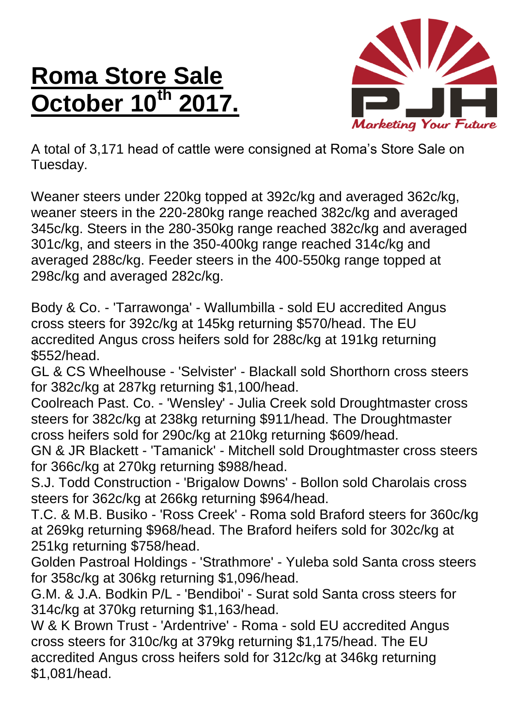## **Roma Store Sale October 10<sup>th</sup>**



A total of 3,171 head of cattle were consigned at Roma's Store Sale on Tuesday.

Weaner steers under 220kg topped at 392c/kg and averaged 362c/kg, weaner steers in the 220-280kg range reached 382c/kg and averaged 345c/kg. Steers in the 280-350kg range reached 382c/kg and averaged 301c/kg, and steers in the 350-400kg range reached 314c/kg and averaged 288c/kg. Feeder steers in the 400-550kg range topped at 298c/kg and averaged 282c/kg.

Body & Co. - 'Tarrawonga' - Wallumbilla - sold EU accredited Angus cross steers for 392c/kg at 145kg returning \$570/head. The EU accredited Angus cross heifers sold for 288c/kg at 191kg returning \$552/head.

GL & CS Wheelhouse - 'Selvister' - Blackall sold Shorthorn cross steers for 382c/kg at 287kg returning \$1,100/head.

Coolreach Past. Co. - 'Wensley' - Julia Creek sold Droughtmaster cross steers for 382c/kg at 238kg returning \$911/head. The Droughtmaster cross heifers sold for 290c/kg at 210kg returning \$609/head.

GN & JR Blackett - 'Tamanick' - Mitchell sold Droughtmaster cross steers for 366c/kg at 270kg returning \$988/head.

S.J. Todd Construction - 'Brigalow Downs' - Bollon sold Charolais cross steers for 362c/kg at 266kg returning \$964/head.

T.C. & M.B. Busiko - 'Ross Creek' - Roma sold Braford steers for 360c/kg at 269kg returning \$968/head. The Braford heifers sold for 302c/kg at 251kg returning \$758/head.

Golden Pastroal Holdings - 'Strathmore' - Yuleba sold Santa cross steers for 358c/kg at 306kg returning \$1,096/head.

G.M. & J.A. Bodkin P/L - 'Bendiboi' - Surat sold Santa cross steers for 314c/kg at 370kg returning \$1,163/head.

W & K Brown Trust - 'Ardentrive' - Roma - sold EU accredited Angus cross steers for 310c/kg at 379kg returning \$1,175/head. The EU accredited Angus cross heifers sold for 312c/kg at 346kg returning \$1,081/head.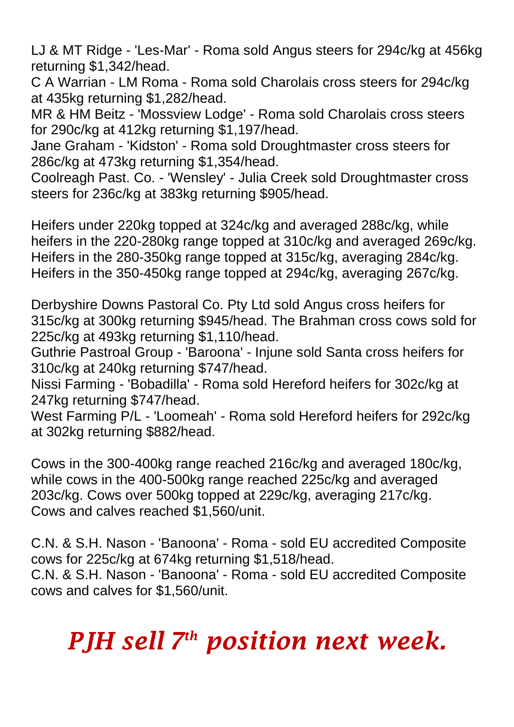LJ & MT Ridge - 'Les-Mar' - Roma sold Angus steers for 294c/kg at 456kg returning \$1,342/head.

C A Warrian - LM Roma - Roma sold Charolais cross steers for 294c/kg at 435kg returning \$1,282/head.

MR & HM Beitz - 'Mossview Lodge' - Roma sold Charolais cross steers for 290c/kg at 412kg returning \$1,197/head.

Jane Graham - 'Kidston' - Roma sold Droughtmaster cross steers for 286c/kg at 473kg returning \$1,354/head.

Coolreagh Past. Co. - 'Wensley' - Julia Creek sold Droughtmaster cross steers for 236c/kg at 383kg returning \$905/head.

Heifers under 220kg topped at 324c/kg and averaged 288c/kg, while heifers in the 220-280kg range topped at 310c/kg and averaged 269c/kg. Heifers in the 280-350kg range topped at 315c/kg, averaging 284c/kg. Heifers in the 350-450kg range topped at 294c/kg, averaging 267c/kg.

Derbyshire Downs Pastoral Co. Pty Ltd sold Angus cross heifers for 315c/kg at 300kg returning \$945/head. The Brahman cross cows sold for 225c/kg at 493kg returning \$1,110/head.

Guthrie Pastroal Group - 'Baroona' - Injune sold Santa cross heifers for 310c/kg at 240kg returning \$747/head.

Nissi Farming - 'Bobadilla' - Roma sold Hereford heifers for 302c/kg at 247kg returning \$747/head.

West Farming P/L - 'Loomeah' - Roma sold Hereford heifers for 292c/kg at 302kg returning \$882/head.

Cows in the 300-400kg range reached 216c/kg and averaged 180c/kg, while cows in the 400-500kg range reached 225c/kg and averaged 203c/kg. Cows over 500kg topped at 229c/kg, averaging 217c/kg. Cows and calves reached \$1,560/unit.

C.N. & S.H. Nason - 'Banoona' - Roma - sold EU accredited Composite cows for 225c/kg at 674kg returning \$1,518/head. C.N. & S.H. Nason - 'Banoona' - Roma - sold EU accredited Composite cows and calves for \$1,560/unit.

## *PJH sell 7 th position next week.*